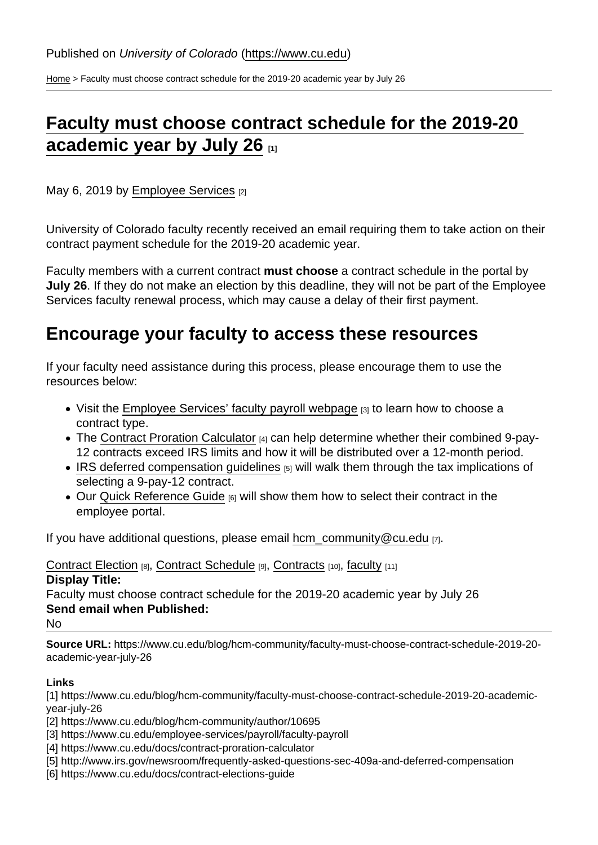[Home](https://www.cu.edu/) > Faculty must choose contract schedule for the 2019-20 academic year by July 26

## [Faculty must choose contract schedule for the 2019-20](https://www.cu.edu/blog/hcm-community/faculty-must-choose-contract-schedule-2019-20-academic-year-july-26)  [academic year by July 26](https://www.cu.edu/blog/hcm-community/faculty-must-choose-contract-schedule-2019-20-academic-year-july-26)  $_{11}$

May 6, 2019 by [Employee Services](https://www.cu.edu/blog/hcm-community/author/10695) [2]

University of Colorado faculty recently received an email requiring them to take action on their contract payment schedule for the 2019-20 academic year.

Faculty members with a current contract must choose a contract schedule in the portal by July 26 . If they do not make an election by this deadline, they will not be part of the Employee Services faculty renewal process, which may cause a delay of their first payment.

## Encourage your faculty to access these resources

If your faculty need assistance during this process, please encourage them to use the resources below:

- Visit the [Employee Services' faculty payroll webpage](https://www.cu.edu/employee-services/payroll/faculty-payroll)  $[3]$  to learn how to choose a contract type.
- The [Contract Proration Calculator](https://www.cu.edu/docs/contract-proration-calculator) [4] can help determine whether their combined 9-pay-12 contracts exceed IRS limits and how it will be distributed over a 12-month period.
- IRS deferred compensation quidelines [5] will walk them through the tax implications of selecting a 9-pay-12 contract.
- Our [Quick Reference Guide](https://www.cu.edu/docs/contract-elections-guide) [6] will show them how to select their contract in the employee portal.

If you have additional questions, please email [hcm\\_community@cu.edu](mailto:hcm_community@cu.edu) [7].

[Contract Election](https://www.cu.edu/blog/hcm-community/tag/contract-election) [8], [Contract Schedule](https://www.cu.edu/blog/hcm-community/tag/contract-schedule) [9], [Contracts](https://www.cu.edu/blog/hcm-community/tag/contracts) [10], [faculty](https://www.cu.edu/blog/hcm-community/tag/faculty) [11]

Display Title:

Faculty must choose contract schedule for the 2019-20 academic year by July 26 Send email when Published:

No

Source URL: https://www.cu.edu/blog/hcm-community/faculty-must-choose-contract-schedule-2019-20 academic-year-july-26

Links

[1] https://www.cu.edu/blog/hcm-community/faculty-must-choose-contract-schedule-2019-20-academicyear-july-26

[2] https://www.cu.edu/blog/hcm-community/author/10695

- [3] https://www.cu.edu/employee-services/payroll/faculty-payroll
- [4] https://www.cu.edu/docs/contract-proration-calculator
- [5] http://www.irs.gov/newsroom/frequently-asked-questions-sec-409a-and-deferred-compensation
- [6] https://www.cu.edu/docs/contract-elections-guide